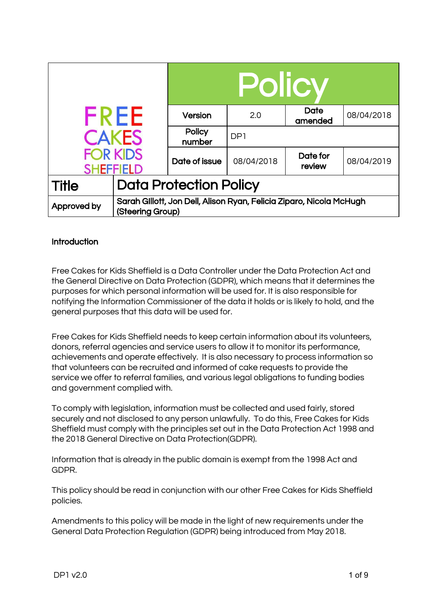|                                     |                                                                                         | <b>Policy</b>    |                 |                    |            |
|-------------------------------------|-----------------------------------------------------------------------------------------|------------------|-----------------|--------------------|------------|
| <b>FREE</b>                         |                                                                                         | Version          | 2.0             | Date<br>amended    | 08/04/2018 |
| <b>CAKES</b>                        |                                                                                         | Policy<br>number | DP <sub>1</sub> |                    |            |
| <b>FOR KIDS</b><br><b>SHEFFIELD</b> |                                                                                         | Date of issue    | 08/04/2018      | Date for<br>review | 08/04/2019 |
| <b>Title</b>                        | <b>Data Protection Policy</b>                                                           |                  |                 |                    |            |
| Approved by                         | Sarah Gillott, Jon Dell, Alison Ryan, Felicia Ziparo, Nicola McHugh<br>(Steering Group) |                  |                 |                    |            |

## **Introduction**

Free Cakes for Kids Sheffield is a Data Controller under the Data Protection Act and the General Directive on Data Protection (GDPR), which means that it determines the purposes for which personal information will be used for. It is also responsible for notifying the Information Commissioner of the data it holds or is likely to hold, and the general purposes that this data will be used for.

Free Cakes for Kids Sheffield needs to keep certain information about its volunteers, donors, referral agencies and service users to allow it to monitor its performance, achievements and operate effectively. It is also necessary to process information so that volunteers can be recruited and informed of cake requests to provide the service we offer to referral families, and various legal obligations to funding bodies and government complied with.

To comply with legislation, information must be collected and used fairly, stored securely and not disclosed to any person unlawfully. To do this, Free Cakes for Kids Sheffield must comply with the principles set out in the Data Protection Act 1998 and the 2018 General Directive on Data Protection(GDPR).

Information that is already in the public domain is exempt from the 1998 Act and GDPR.

This policy should be read in conjunction with our other Free Cakes for Kids Sheffield policies.

Amendments to this policy will be made in the light of new requirements under the General Data Protection Regulation (GDPR) being introduced from May 2018.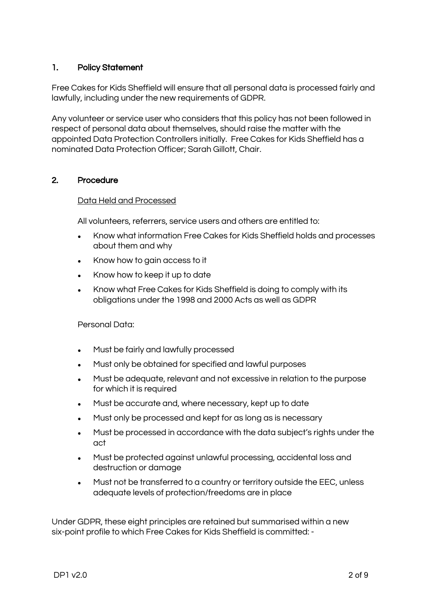## 1. Policy Statement

Free Cakes for Kids Sheffield will ensure that all personal data is processed fairly and lawfully, including under the new requirements of GDPR.

Any volunteer or service user who considers that this policy has not been followed in respect of personal data about themselves, should raise the matter with the appointed Data Protection Controllers initially. Free Cakes for Kids Sheffield has a nominated Data Protection Officer; Sarah Gillott, Chair.

### 2. Procedure

### Data Held and Processed

All volunteers, referrers, service users and others are entitled to:

- Know what information Free Cakes for Kids Sheffield holds and processes about them and why
- Know how to gain access to it
- Know how to keep it up to date
- Know what Free Cakes for Kids Sheffield is doing to comply with its obligations under the 1998 and 2000 Acts as well as GDPR

### Personal Data:

- Must be fairly and lawfully processed
- Must only be obtained for specified and lawful purposes
- Must be adequate, relevant and not excessive in relation to the purpose for which it is required
- Must be accurate and, where necessary, kept up to date
- Must only be processed and kept for as long as is necessary
- Must be processed in accordance with the data subject's rights under the act
- Must be protected against unlawful processing, accidental loss and destruction or damage
- Must not be transferred to a country or territory outside the EEC, unless adequate levels of protection/freedoms are in place

Under GDPR, these eight principles are retained but summarised within a new six-point profile to which Free Cakes for Kids Sheffield is committed: -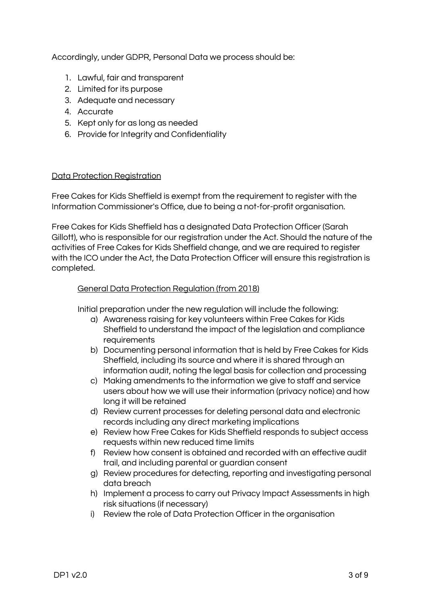Accordingly, under GDPR, Personal Data we process should be:

- 1. Lawful, fair and transparent
- 2. Limited for its purpose
- 3. Adequate and necessary
- 4. Accurate
- 5. Kept only for as long as needed
- 6. Provide for Integrity and Confidentiality

### Data Protection Registration

Free Cakes for Kids Sheffield is exempt from the requirement to register with the Information Commissioner's Office, due to being a not-for-profit organisation.

Free Cakes for Kids Sheffield has a designated Data Protection Officer (Sarah Gillott), who is responsible for our registration under the Act. Should the nature of the activities of Free Cakes for Kids Sheffield change, and we are required to register with the ICO under the Act, the Data Protection Officer will ensure this registration is completed.

### General Data Protection Regulation (from 2018)

Initial preparation under the new regulation will include the following:

- a) Awareness raising for key volunteers within Free Cakes for Kids Sheffield to understand the impact of the legislation and compliance requirements
- b) Documenting personal information that is held by Free Cakes for Kids Sheffield, including its source and where it is shared through an information audit, noting the legal basis for collection and processing
- c) Making amendments to the information we give to staff and service users about how we will use their information (privacy notice) and how long it will be retained
- d) Review current processes for deleting personal data and electronic records including any direct marketing implications
- e) Review how Free Cakes for Kids Sheffield responds to subject access requests within new reduced time limits
- f) Review how consent is obtained and recorded with an effective audit trail, and including parental or guardian consent
- g) Review procedures for detecting, reporting and investigating personal data breach
- h) Implement a process to carry out Privacy Impact Assessments in high risk situations (if necessary)
- i) Review the role of Data Protection Officer in the organisation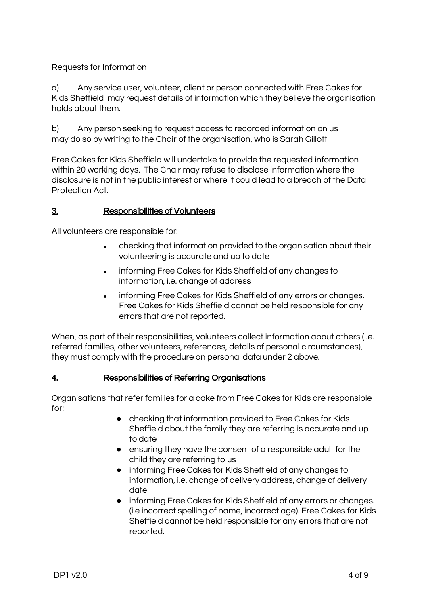## Requests for Information

a) Any service user, volunteer, client or person connected with Free Cakes for Kids Sheffield may request details of information which they believe the organisation holds about them.

b) Any person seeking to request access to recorded information on us may do so by writing to the Chair of the organisation, who is Sarah Gillott

Free Cakes for Kids Sheffield will undertake to provide the requested information within 20 working days. The Chair may refuse to disclose information where the disclosure is not in the public interest or where it could lead to a breach of the Data Protection Act.

## 3. Responsibilities of Volunteers

All volunteers are responsible for:

- checking that information provided to the organisation about their volunteering is accurate and up to date
- informing Free Cakes for Kids Sheffield of any changes to information, i.e. change of address
- informing Free Cakes for Kids Sheffield of any errors or changes. Free Cakes for Kids Sheffield cannot be held responsible for any errors that are not reported.

When, as part of their responsibilities, volunteers collect information about others (i.e. referred families, other volunteers, references, details of personal circumstances), they must comply with the procedure on personal data under 2 above.

## 4. Responsibilities of Referring Organisations

Organisations that refer families for a cake from Free Cakes for Kids are responsible for:

- checking that information provided to Free Cakes for Kids Sheffield about the family they are referring is accurate and up to date
- ensuring they have the consent of a responsible adult for the child they are referring to us
- informing Free Cakes for Kids Sheffield of any changes to information, i.e. change of delivery address, change of delivery date
- informing Free Cakes for Kids Sheffield of any errors or changes. (i.e incorrect spelling of name, incorrect age). Free Cakes for Kids Sheffield cannot be held responsible for any errors that are not reported.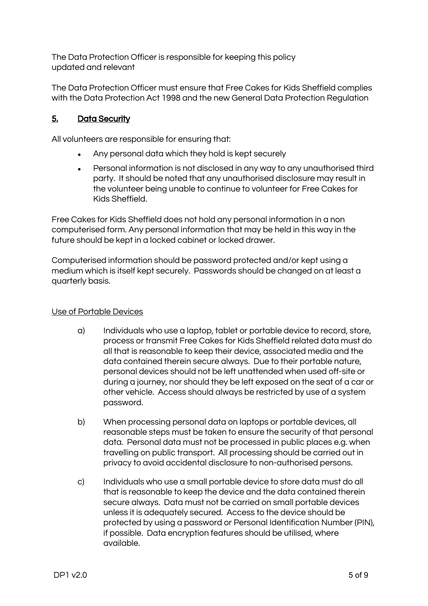The Data Protection Officer is responsible for keeping this policy updated and relevant

The Data Protection Officer must ensure that Free Cakes for Kids Sheffield complies with the Data Protection Act 1998 and the new General Data Protection Regulation

# 5. Data Security

All volunteers are responsible for ensuring that:

- Any personal data which they hold is kept securely
- Personal information is not disclosed in any way to any unauthorised third party. It should be noted that any unauthorised disclosure may result in the volunteer being unable to continue to volunteer for Free Cakes for Kids Sheffield.

Free Cakes for Kids Sheffield does not hold any personal information in a non computerised form. Any personal information that may be held in this way in the future should be kept in a locked cabinet or locked drawer.

Computerised information should be password protected and/or kept using a medium which is itself kept securely. Passwords should be changed on at least a quarterly basis.

### Use of Portable Devices

- a) Individuals who use a laptop, tablet or portable device to record, store, process or transmit Free Cakes for Kids Sheffield related data must do all that is reasonable to keep their device, associated media and the data contained therein secure always. Due to their portable nature, personal devices should not be left unattended when used off-site or during a journey, nor should they be left exposed on the seat of a car or other vehicle. Access should always be restricted by use of a system password.
- b) When processing personal data on laptops or portable devices, all reasonable steps must be taken to ensure the security of that personal data. Personal data must not be processed in public places e.g. when travelling on public transport. All processing should be carried out in privacy to avoid accidental disclosure to non-authorised persons.
- c) Individuals who use a small portable device to store data must do all that is reasonable to keep the device and the data contained therein secure always. Data must not be carried on small portable devices unless it is adequately secured. Access to the device should be protected by using a password or Personal Identification Number (PIN), if possible. Data encryption features should be utilised, where available.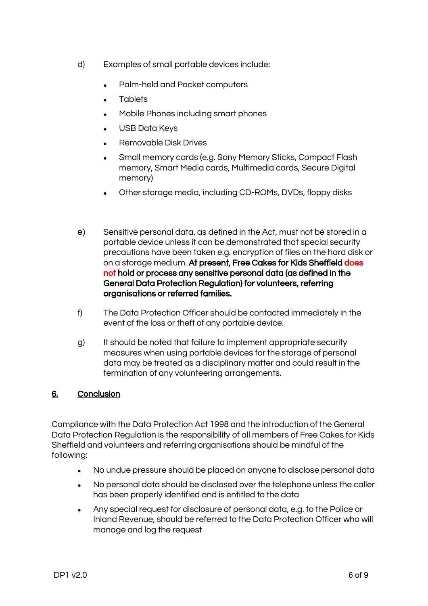- d) Examples of small portable devices include:
	- Palm-held and Pocket computers
	- **Tablets**
	- Mobile Phones including smart phones
	- USB Data Keys
	- **Removable Disk Drives**
	- Small memory cards (e.g. Sony Memory Sticks, Compact Flash memory, Smart Media cards, Multimedia cards, Secure Digital memory)
	- Other storage media, including CD-ROMs, DVDs, floppy disks
- e) Sensitive personal data, as defined in the Act, must not be stored in a portable device unless it can be demonstrated that special security precautions have been taken e.g. encryption of files on the hard disk or on a storage medium. At present, Free Cakes for Kids Sheffield does not hold or process any sensitive personal data (as defined in the General Data Protection Regulation) for volunteers, referring organisations or referred families.
- f) The Data Protection Officer should be contacted immediately in the event of the loss or theft of any portable device.
- g) It should be noted that failure to implement appropriate security measures when using portable devices for the storage of personal data may be treated as a disciplinary matter and could result in the termination of any volunteering arrangements.

## 6. Conclusion

Compliance with the Data Protection Act 1998 and the introduction of the General Data Protection Regulation is the responsibility of all members of Free Cakes for Kids Sheffield and volunteers and referring organisations should be mindful of the following:

- No undue pressure should be placed on anyone to disclose personal data
- No personal data should be disclosed over the telephone unless the caller has been properly identified and is entitled to the data
- Any special request for disclosure of personal data, e.g. to the Police or Inland Revenue, should be referred to the Data Protection Officer who will manage and log the request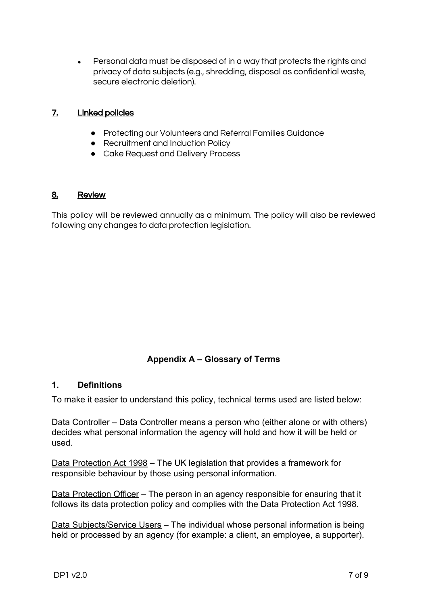• Personal data must be disposed of in a way that protects the rights and privacy of data subjects (e.g., shredding, disposal as confidential waste, secure electronic deletion).

## 7. Linked policies

- Protecting our Volunteers and Referral Families Guidance
- Recruitment and Induction Policy
- Cake Request and Delivery Process

## 8. Review

This policy will be reviewed annually as a minimum. The policy will also be reviewed following any changes to data protection legislation.

## **Appendix A – Glossary of Terms**

### **1. Definitions**

To make it easier to understand this policy, technical terms used are listed below:

Data Controller – Data Controller means a person who (either alone or with others) decides what personal information the agency will hold and how it will be held or used.

Data Protection Act 1998 – The UK legislation that provides a framework for responsible behaviour by those using personal information.

Data Protection Officer – The person in an agency responsible for ensuring that it follows its data protection policy and complies with the Data Protection Act 1998.

Data Subjects/Service Users - The individual whose personal information is being held or processed by an agency (for example: a client, an employee, a supporter).